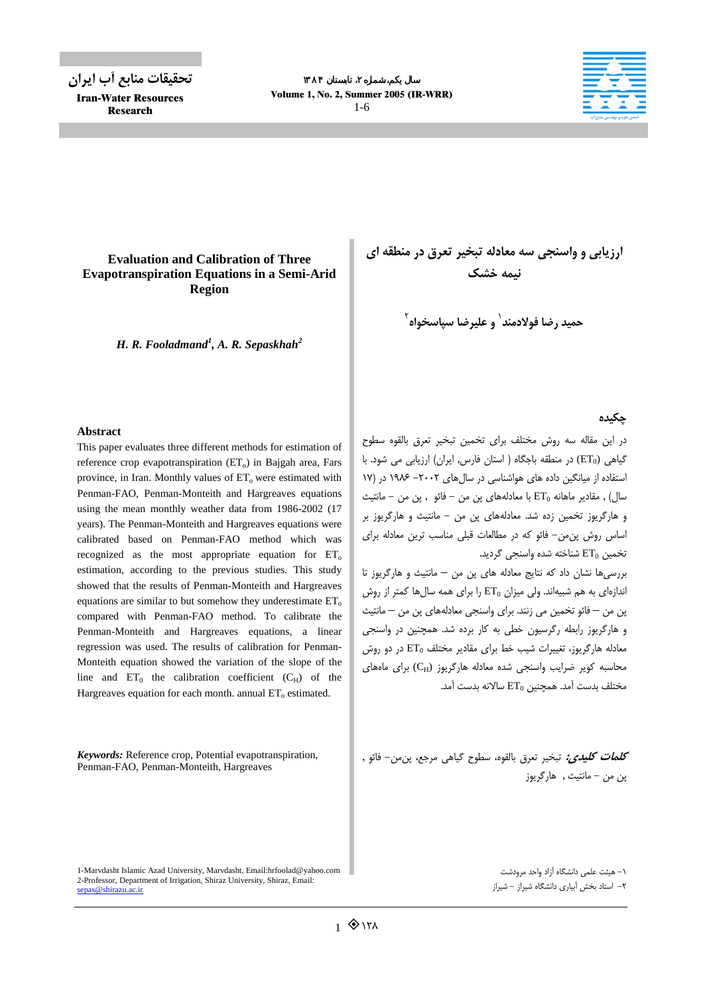**تحقيقات منابع آب ايران** Iran-Water Resources Research



# **Evaluation and Calibration of Three Evapotranspiration Equations in a Semi-Arid Region**

*H. R. Fooladmand<sup>1</sup> , A. R. Sepaskhah<sup>2</sup>*

## **Abstract**

This paper evaluates three different methods for estimation of reference crop evapotranspiration  $(ET_0)$  in Bajgah area, Fars province, in Iran. Monthly values of  $ET_0$  were estimated with Penman-FAO, Penman-Monteith and Hargreaves equations using the mean monthly weather data from 1986-2002 (17 years). The Penman-Monteith and Hargreaves equations were calibrated based on Penman-FAO method which was recognized as the most appropriate equation for  $ET_0$ estimation, according to the previous studies. This study showed that the results of Penman-Monteith and Hargreaves equations are similar to but somehow they underestimate  $ET_0$ compared with Penman-FAO method. To calibrate the Penman-Monteith and Hargreaves equations, a linear regression was used. The results of calibration for Penman-Monteith equation showed the variation of the slope of the line and  $ET_0$  the calibration coefficient  $(C_H)$  of the Hargreaves equation for each month. annual  $ET_0$  estimated.

*Keywords:* Reference crop, Potential evapotranspiration, Penman-FAO, Penman-Monteith, Hargreaves

1-Marvdasht Islamic Azad University, Marvdasht, Email:hrfoolad@yahoo.com 2-Professor, Department of Irrigation, Shiraz University, Shiraz, Email: sepas@shirazu.ac.ir

**ارزيابي و واسنجي سه معادله تبخير تعرق در منطقه اي نيمه خشك**

**حميد رضا فولادمند و عليرضا سپاسخواه** <sup>1</sup> 2

## **چكيده**

در اين مقاله سه روش مختلف براي تخمين تبخير تعرق بالقوه سطوح گياهي (ET<sub>0</sub>) در منطقه باجگاه ( استان فارس, ايران) ارزيابي مي شود. با استفاده از ميانگين داده هاي هواشناسي در سالهاي -2002 1986 در (17 سال) , مقادير ماهانه 0ET با معادلههاي پن من - فائو , پن من - مانتيث و هارگريوز تخمين زده شد. معادلههاي پن من - مانتيث و هارگريوز بر اساس روش پنمن- فائو كه در مطالعات قبلي مناسب ترين معادله براي تخمين  $ET_0$  شناخته شده واسنجي گرديد.

بررسيها نشان داد كه نتايج معادله هاي پن من – مانتيث و هارگريوز تا اندازهاي به هم شبيهاند. ولي ميزان  $\mathrm{ET}_0$  را براي همه سال ها كمتر از روش پن من – فائو تخمين مي زنند. براي واسنجي معادلههاي پن من – مانتيث و هارگريوز رابطه رگرسيون خطي به كار برده شد. همچنين در واسنجي معادله هارگريوز، تغييرات شيب خط براي مقادير مختلف 0ET در دو روش محاسبه كوير ضرايب واسنجى شده معادله هارگريوز (CH) براى ماههاى مختلف بدست آمد. همچنين 0ET سالانه بدست آمد.

**كلمات كليدي:** تبخير تعرق بالقوه، سطوح گياهي مرجع، پنمن- فائو , پن من - مانتيث , هارگريوز

> -1 هيئت علمي دانشگاه آزاد واحد مرودشت -2 استاد بخش آبياري دانشگاه شيراز - شيراز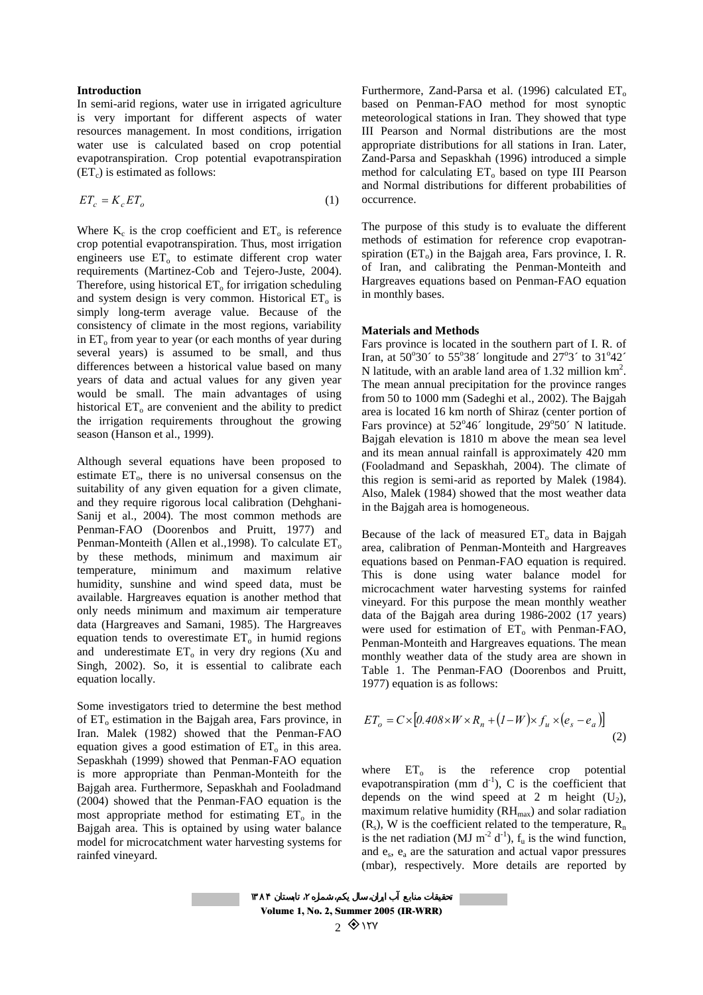### **Introduction**

In semi-arid regions, water use in irrigated agriculture is very important for different aspects of water resources management. In most conditions, irrigation water use is calculated based on crop potential evapotranspiration. Crop potential evapotranspiration  $(ET_c)$  is estimated as follows:

$$
ET_c = K_c ET_o \tag{1}
$$

Where  $K_c$  is the crop coefficient and  $ET_0$  is reference crop potential evapotranspiration. Thus, most irrigation engineers use  $ET_0$  to estimate different crop water requirements (Martinez-Cob and Tejero-Juste, 2004). Therefore, using historical  $ET_0$  for irrigation scheduling and system design is very common. Historical  $ET_0$  is simply long-term average value. Because of the consistency of climate in the most regions, variability in  $ET_0$  from year to year (or each months of year during several years) is assumed to be small, and thus differences between a historical value based on many years of data and actual values for any given year would be small. The main advantages of using historical  $ET_0$  are convenient and the ability to predict the irrigation requirements throughout the growing season (Hanson et al., 1999).

Although several equations have been proposed to estimate  $ET_0$ , there is no universal consensus on the suitability of any given equation for a given climate, and they require rigorous local calibration (Dehghani-Sanij et al., 2004). The most common methods are Penman-FAO (Doorenbos and Pruitt, 1977) and Penman-Monteith (Allen et al., 1998). To calculate  $ET_0$ by these methods, minimum and maximum air temperature, minimum and maximum relative humidity, sunshine and wind speed data, must be available. Hargreaves equation is another method that only needs minimum and maximum air temperature data (Hargreaves and Samani, 1985). The Hargreaves equation tends to overestimate  $ET_0$  in humid regions and underestimate  $ET_0$  in very dry regions (Xu and Singh, 2002). So, it is essential to calibrate each equation locally.

Some investigators tried to determine the best method of  $ET_0$  estimation in the Bajgah area, Fars province, in Iran. Malek (1982) showed that the Penman-FAO equation gives a good estimation of  $ET_0$  in this area. Sepaskhah (1999) showed that Penman-FAO equation is more appropriate than Penman-Monteith for the Bajgah area. Furthermore, Sepaskhah and Fooladmand (2004) showed that the Penman-FAO equation is the most appropriate method for estimating  $ET_0$  in the Bajgah area. This is optained by using water balance model for microcatchment water harvesting systems for rainfed vineyard.

Furthermore, Zand-Parsa et al. (1996) calculated  $ET_0$ based on Penman-FAO method for most synoptic meteorological stations in Iran. They showed that type III Pearson and Normal distributions are the most appropriate distributions for all stations in Iran. Later, Zand-Parsa and Sepaskhah (1996) introduced a simple method for calculating  $ET_0$  based on type III Pearson and Normal distributions for different probabilities of occurrence.

The purpose of this study is to evaluate the different methods of estimation for reference crop evapotranspiration  $(ET_0)$  in the Bajgah area, Fars province, I. R. of Iran, and calibrating the Penman-Monteith and Hargreaves equations based on Penman-FAO equation in monthly bases.

#### **Materials and Methods**

Fars province is located in the southern part of I. R. of Iran, at 50°30′ to 55°38′ longitude and  $27^{\circ}3'$  to 31°42′ N latitude, with an arable land area of 1.32 million  $km^2$ . The mean annual precipitation for the province ranges from 50 to 1000 mm (Sadeghi et al., 2002). The Bajgah area is located 16 km north of Shiraz (center portion of Fars province) at  $52^{\circ}46'$  longitude,  $29^{\circ}50'$  N latitude. Bajgah elevation is 1810 m above the mean sea level and its mean annual rainfall is approximately 420 mm (Fooladmand and Sepaskhah, 2004). The climate of this region is semi-arid as reported by Malek (1984). Also, Malek (1984) showed that the most weather data in the Bajgah area is homogeneous.

Because of the lack of measured  $ET_0$  data in Bajgah area, calibration of Penman-Monteith and Hargreaves equations based on Penman-FAO equation is required. This is done using water balance model for microcachment water harvesting systems for rainfed vineyard. For this purpose the mean monthly weather data of the Bajgah area during 1986-2002 (17 years) were used for estimation of  $ET_0$  with Penman-FAO, Penman-Monteith and Hargreaves equations. The mean monthly weather data of the study area are shown in Table 1. The Penman-FAO (Doorenbos and Pruitt, 1977) equation is as follows:

$$
ET_o = C \times [0.408 \times W \times R_n + (1 - W) \times f_u \times (e_s - e_a)]
$$
\n(2)

where  $ET_0$  is the reference crop potential evapotranspiration (mm  $d^{-1}$ ), C is the coefficient that depends on the wind speed at 2 m height  $(U_2)$ , maximum relative humidity  $(RH_{\text{max}})$  and solar radiation  $(R_s)$ , W is the coefficient related to the temperature,  $R_n$ is the net radiation (MJ  $m^{-2} d^{-1}$ ),  $f_u$  is the wind function, and  $e_s$ ,  $e_a$  are the saturation and actual vapor pressures (mbar), respectively. More details are reported by

Volume 1, No. 2, Summer 2005 (IR-WRR)  $2.8$ 127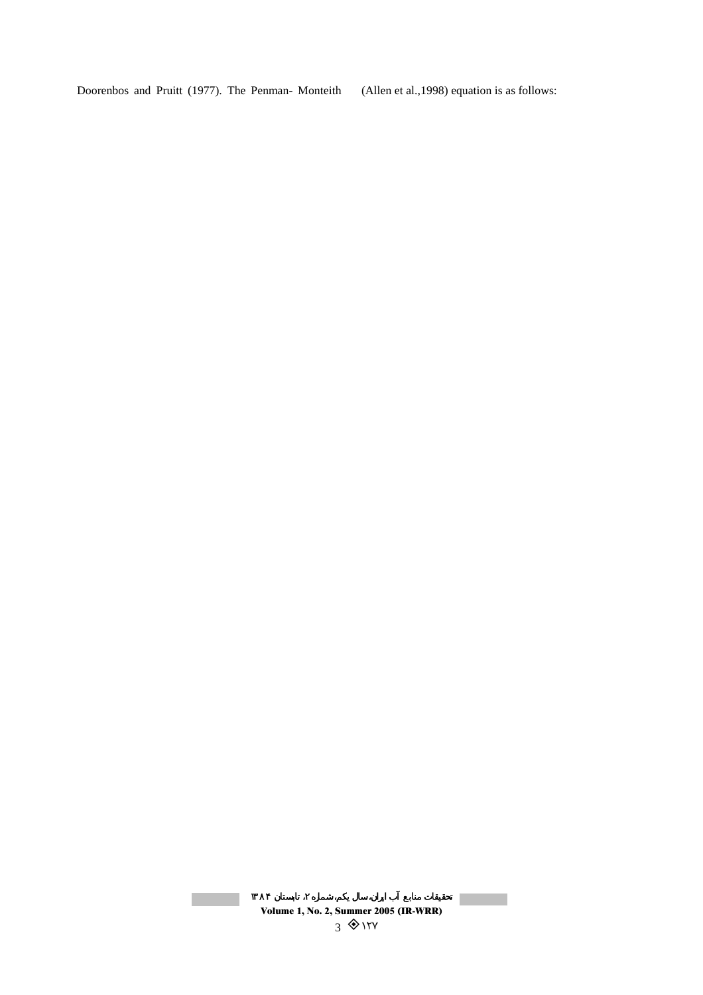Doorenbos and Pruitt (1977). The Penman- Monteith (Allen et al.,1998) equation is as follows:

# Volume 1, No. 2, Summer 2005 (IR-WRR)  $3$   $\diamond$  127

**Contract**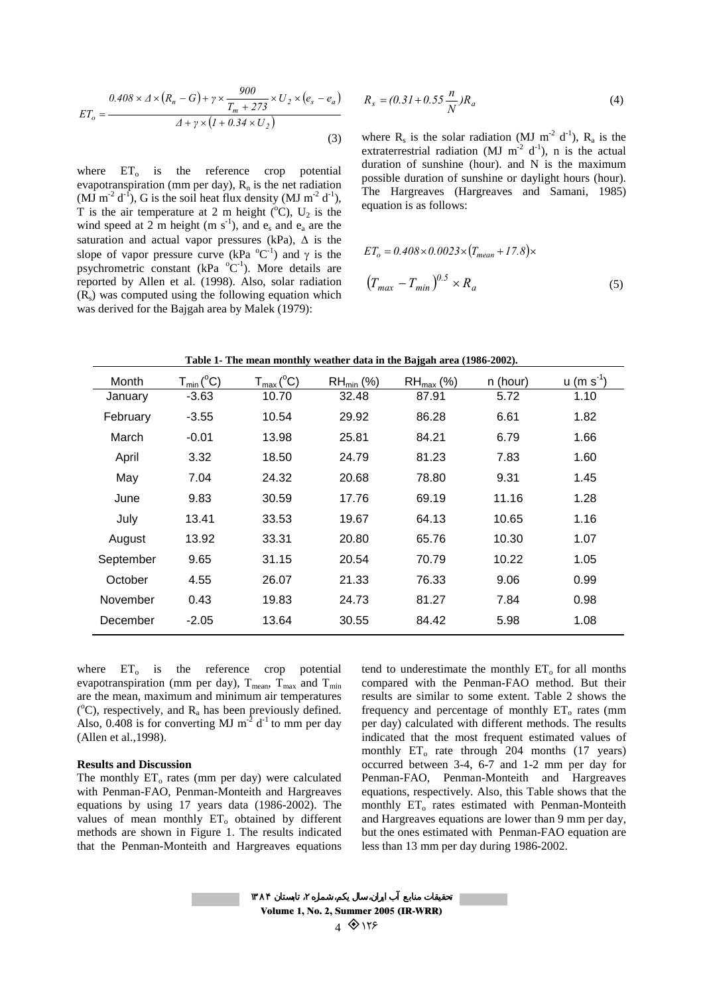$$
ET_o = \frac{0.408 \times \Delta \times (R_n - G) + \gamma \times \frac{900}{T_m + 273} \times U_2 \times (e_s - e_a)}{\Delta + \gamma \times (1 + 0.34 \times U_2)}
$$
(3)

where  $ET_0$  is the reference crop potential evapotranspiration (mm per day),  $R_n$  is the net radiation (MJ m<sup>-2</sup> d<sup>-1</sup>), G is the soil heat flux density (MJ m<sup>-2</sup> d<sup>-1</sup>), T is the air temperature at 2 m height  $(^{\circ}C)$ , U<sub>2</sub> is the wind speed at 2 m height (m  $s^{-1}$ ), and  $e_s$  and  $e_a$  are the saturation and actual vapor pressures (kPa),  $\Delta$  is the slope of vapor pressure curve (kPa  ${}^{0}C^{-1}$ ) and  $\gamma$  is the psychrometric constant (kPa  ${}^{0}C^{-1}$ ). More details are reported by Allen et al. (1998). Also, solar radiation  $(R<sub>s</sub>)$  was computed using the following equation which was derived for the Bajgah area by Malek (1979):

$$
R_s = (0.31 + 0.55 \frac{n}{N})R_a \tag{4}
$$

where  $R_s$  is the solar radiation (MJ m<sup>-2</sup> d<sup>-1</sup>),  $R_a$  is the extraterrestrial radiation (MJ  $m^{-2}$  d<sup>-1</sup>), n is the actual duration of sunshine (hour). and N is the maximum possible duration of sunshine or daylight hours (hour). The Hargreaves (Hargreaves and Samani, 1985) equation is as follows:

$$
ET_o = 0.408 \times 0.0023 \times (T_{mean} + 17.8) \times
$$

$$
(T_{max} - T_{min})^{0.5} \times R_a
$$
 (5)

|  |  |  |  |  | Table 1- The mean monthly weather data in the Bajgah area (1986-2002). |  |
|--|--|--|--|--|------------------------------------------------------------------------|--|
|  |  |  |  |  |                                                                        |  |

| Month     | $T_{min} (^{\circ}C)$ | $T_{max} (^{\circ}C)$ | $RH_{min}$ (%) | $RH_{\text{max}}$ (%) | n (hour) | $u$ (m s <sup>-1</sup> ) |
|-----------|-----------------------|-----------------------|----------------|-----------------------|----------|--------------------------|
| January   | $-3.63$               | 10.70                 | 32.48          | 87.91                 | 5.72     | 1.10                     |
| February  | $-3.55$               | 10.54                 | 29.92          | 86.28                 | 6.61     | 1.82                     |
| March     | $-0.01$               | 13.98                 | 25.81          | 84.21                 | 6.79     | 1.66                     |
| April     | 3.32                  | 18.50                 | 24.79          | 81.23                 | 7.83     | 1.60                     |
| May       | 7.04                  | 24.32                 | 20.68          | 78.80                 | 9.31     | 1.45                     |
| June      | 9.83                  | 30.59                 | 17.76          | 69.19                 | 11.16    | 1.28                     |
| July      | 13.41                 | 33.53                 | 19.67          | 64.13                 | 10.65    | 1.16                     |
| August    | 13.92                 | 33.31                 | 20.80          | 65.76                 | 10.30    | 1.07                     |
| September | 9.65                  | 31.15                 | 20.54          | 70.79                 | 10.22    | 1.05                     |
| October   | 4.55                  | 26.07                 | 21.33          | 76.33                 | 9.06     | 0.99                     |
| November  | 0.43                  | 19.83                 | 24.73          | 81.27                 | 7.84     | 0.98                     |
| December  | $-2.05$               | 13.64                 | 30.55          | 84.42                 | 5.98     | 1.08                     |

where  $ET_0$  is the reference crop potential evapotranspiration (mm per day),  $T_{mean}$ ,  $T_{max}$  and  $T_{min}$ are the mean, maximum and minimum air temperatures  $({}^{\circ}C)$ , respectively, and R<sub>a</sub> has been previously defined. Also, 0.408 is for converting MJ  $m^{-2}$  d<sup>-1</sup> to mm per day (Allen et al.,1998).

### **Results and Discussion**

The monthly  $ET_0$  rates (mm per day) were calculated with Penman-FAO, Penman-Monteith and Hargreaves equations by using 17 years data (1986-2002). The values of mean monthly  $ET_0$  obtained by different methods are shown in Figure 1. The results indicated that the Penman-Monteith and Hargreaves equations tend to underestimate the monthly  $ET_0$  for all months compared with the Penman-FAO method. But their results are similar to some extent. Table 2 shows the frequency and percentage of monthly  $ET_0$  rates (mm per day) calculated with different methods. The results indicated that the most frequent estimated values of monthly  $ET_0$  rate through 204 months (17 years) occurred between 3-4, 6-7 and 1-2 mm per day for Penman-FAO, Penman-Monteith and Hargreaves equations, respectively. Also, this Table shows that the monthly  $ET_0$  rates estimated with Penman-Monteith and Hargreaves equations are lower than 9 mm per day, but the ones estimated with Penman-FAO equation are less than 13 mm per day during 1986-2002.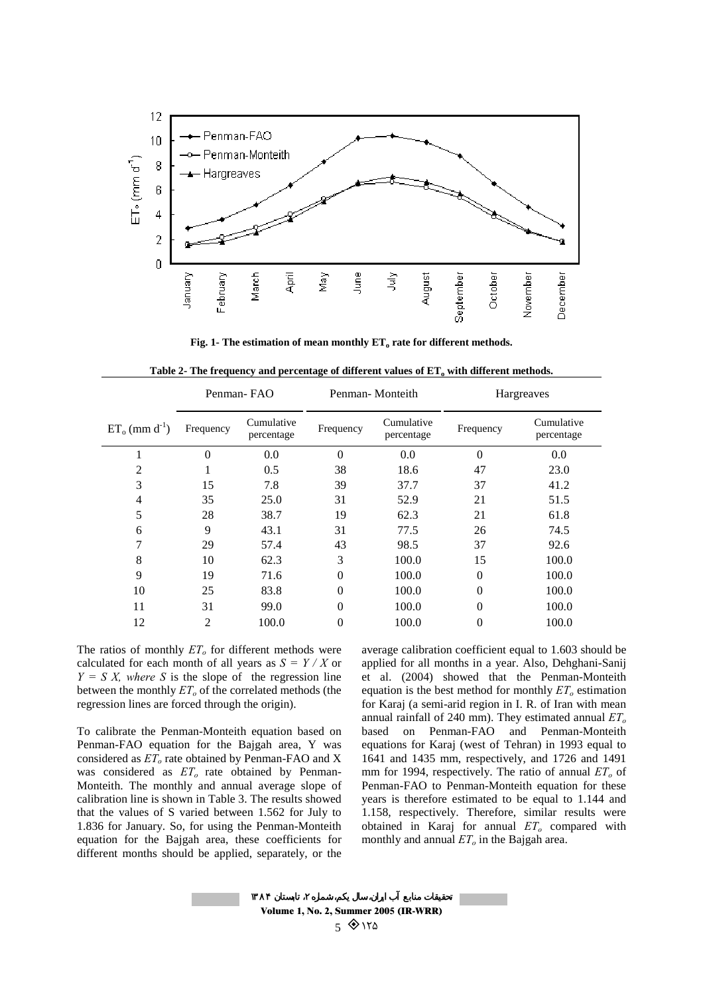

Fig. 1- The estimation of mean monthly ET<sub>o</sub> rate for different methods.

|                              | Penman-FAO     |                          |           | Penman-Monteith          | Hargreaves     |                          |
|------------------------------|----------------|--------------------------|-----------|--------------------------|----------------|--------------------------|
| $ET_0$ (mm d <sup>-1</sup> ) | Frequency      | Cumulative<br>percentage | Frequency | Cumulative<br>percentage | Frequency      | Cumulative<br>percentage |
|                              | $\theta$       | 0.0                      | $\Omega$  | 0.0                      | $\Omega$       | $0.0\,$                  |
| 2                            |                | 0.5                      | 38        | 18.6                     | 47             | 23.0                     |
| 3                            | 15             | 7.8                      | 39        | 37.7                     | 37             | 41.2                     |
| 4                            | 35             | 25.0                     | 31        | 52.9                     | 21             | 51.5                     |
| 5                            | 28             | 38.7                     | 19        | 62.3                     | 21             | 61.8                     |
| 6                            | 9              | 43.1                     | 31        | 77.5                     | 26             | 74.5                     |
| 7                            | 29             | 57.4                     | 43        | 98.5                     | 37             | 92.6                     |
| 8                            | 10             | 62.3                     | 3         | 100.0                    | 15             | 100.0                    |
| 9                            | 19             | 71.6                     | $\theta$  | 100.0                    | $\theta$       | 100.0                    |
| 10                           | 25             | 83.8                     | $\theta$  | 100.0                    | $\theta$       | 100.0                    |
| 11                           | 31             | 99.0                     | $\theta$  | 100.0                    | $\theta$       | 100.0                    |
| 12                           | $\overline{2}$ | 100.0                    | $\theta$  | 100.0                    | $\overline{0}$ | 100.0                    |

Table 2- The frequency and percentage of different values of  $ET<sub>o</sub>$  with different methods.

The ratios of monthly  $ET<sub>o</sub>$  for different methods were calculated for each month of all years as  $S = Y / X$  or  $Y = S X$ , where S is the slope of the regression line between the monthly  $ET<sub>o</sub>$  of the correlated methods (the regression lines are forced through the origin).

To calibrate the Penman-Monteith equation based on Penman-FAO equation for the Bajgah area, Y was considered as  $ET<sub>o</sub>$  rate obtained by Penman-FAO and X was considered as  $ET<sub>o</sub>$  rate obtained by Penman-Monteith. The monthly and annual average slope of calibration line is shown in Table 3. The results showed that the values of S varied between 1.562 for July to 1.836 for January. So, for using the Penman-Monteith equation for the Bajgah area, these coefficients for different months should be applied, separately, or the average calibration coefficient equal to 1.603 should be applied for all months in a year. Also, Dehghani-Sanij et al. (2004) showed that the Penman-Monteith equation is the best method for monthly  $ET<sub>o</sub>$  estimation for Karaj (a semi-arid region in I. R. of Iran with mean annual rainfall of 240 mm). They estimated annual  $ET<sub>o</sub>$ based on Penman-FAO and Penman-Monteith equations for Karaj (west of Tehran) in 1993 equal to 1641 and 1435 mm, respectively, and 1726 and 1491 mm for 1994, respectively. The ratio of annual  $ET<sub>o</sub>$  of Penman-FAO to Penman-Monteith equation for these years is therefore estimated to be equal to 1.144 and 1.158, respectively. Therefore, similar results were obtained in Karaj for annual  $ET<sub>o</sub>$  compared with monthly and annual  $ET<sub>o</sub>$  in the Bajgah area.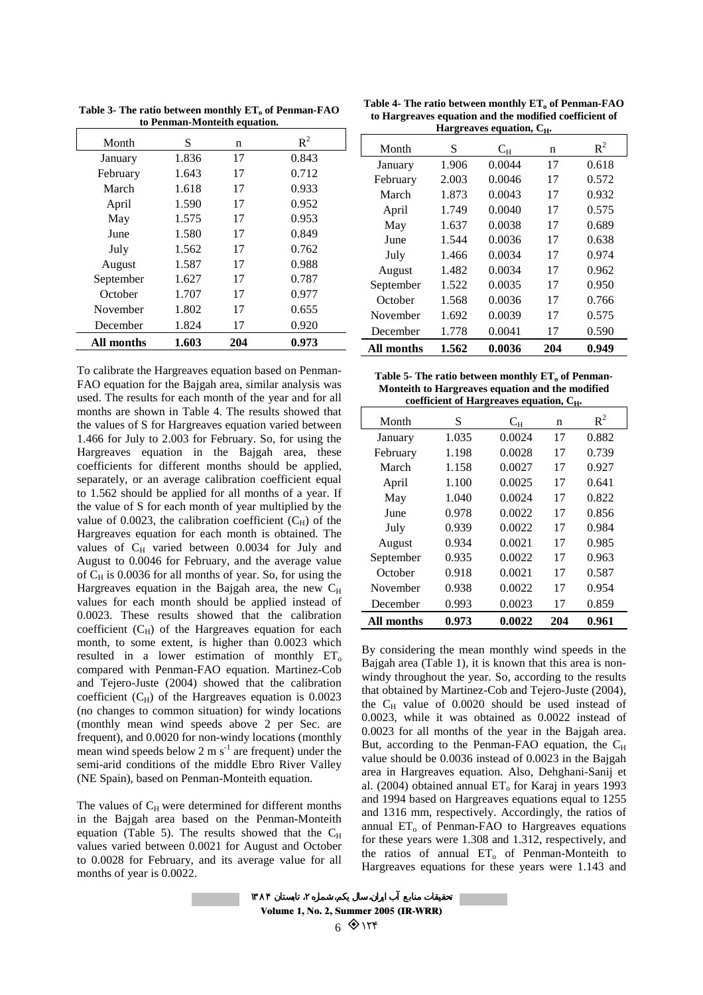| Month      | S     | n   | $R^2$ |
|------------|-------|-----|-------|
| January    | 1.836 | 17  | 0.843 |
| February   | 1.643 | 17  | 0.712 |
| March      | 1.618 | 17  | 0.933 |
| April      | 1.590 | 17  | 0.952 |
| May        | 1.575 | 17  | 0.953 |
| June       | 1.580 | 17  | 0.849 |
| July       | 1.562 | 17  | 0.762 |
| August     | 1.587 | 17  | 0.988 |
| September  | 1.627 | 17  | 0.787 |
| October    | 1.707 | 17  | 0.977 |
| November   | 1.802 | 17  | 0.655 |
| December   | 1.824 | 17  | 0.920 |
| All months | 1.603 | 204 | 0.973 |

Table 3- The ratio between monthly ET<sub>o</sub> of Penman-FAO **to Penman-Monteith equation.**

To calibrate the Hargreaves equation based on Penman-FAO equation for the Bajgah area, similar analysis was used. The results for each month of the year and for all months are shown in Table 4. The results showed that the values of S for Hargreaves equation varied between 1.466 for July to 2.003 for February. So, for using the Hargreaves equation in the Bajgah area, these coefficients for different months should be applied, separately, or an average calibration coefficient equal to 1.562 should be applied for all months of a year. If the value of S for each month of year multiplied by the value of 0.0023, the calibration coefficient  $(C_H)$  of the Hargreaves equation for each month is obtained. The values of  $C_H$  varied between 0.0034 for July and August to 0.0046 for February, and the average value of  $C_H$  is 0.0036 for all months of year. So, for using the Hargreaves equation in the Bajgah area, the new  $C_H$ values for each month should be applied instead of 0.0023. These results showed that the calibration coefficient  $(C_H)$  of the Hargreaves equation for each month, to some extent, is higher than 0.0023 which resulted in a lower estimation of monthly  $ET_0$ compared with Penman-FAO equation. Martinez-Cob and Tejero-Juste (2004) showed that the calibration coefficient  $(C_H)$  of the Hargreaves equation is 0.0023 (no changes to common situation) for windy locations (monthly mean wind speeds above 2 per Sec. are frequent), and 0.0020 for non-windy locations (monthly mean wind speeds below 2 m  $s^{-1}$  are frequent) under the semi-arid conditions of the middle Ebro River Valley (NE Spain), based on Penman-Monteith equation.

The values of  $C_H$  were determined for different months in the Bajgah area based on the Penman-Monteith equation (Table 5). The results showed that the  $C_H$ values varied between 0.0021 for August and October to 0.0028 for February, and its average value for all months of year is 0.0022.

Table 4- The ratio between monthly ET<sub>o</sub> of Penman-FAO **to Hargreaves equation and the modified coefficient of Hargreaves equation, C.,** 

| $\cdots$<br><br>∼н∙ |       |             |     |       |  |  |  |
|---------------------|-------|-------------|-----|-------|--|--|--|
| Month               | S     | $\rm C_{H}$ | n   | $R^2$ |  |  |  |
| January             | 1.906 | 0.0044      | 17  | 0.618 |  |  |  |
| February            | 2.003 | 0.0046      | 17  | 0.572 |  |  |  |
| March               | 1.873 | 0.0043      | 17  | 0.932 |  |  |  |
| April               | 1.749 | 0.0040      | 17  | 0.575 |  |  |  |
| May                 | 1.637 | 0.0038      | 17  | 0.689 |  |  |  |
| June                | 1.544 | 0.0036      | 17  | 0.638 |  |  |  |
| July                | 1.466 | 0.0034      | 17  | 0.974 |  |  |  |
| August              | 1.482 | 0.0034      | 17  | 0.962 |  |  |  |
| September           | 1.522 | 0.0035      | 17  | 0.950 |  |  |  |
| October             | 1.568 | 0.0036      | 17  | 0.766 |  |  |  |
| November            | 1.692 | 0.0039      | 17  | 0.575 |  |  |  |
| December            | 1.778 | 0.0041      | 17  | 0.590 |  |  |  |
| All months          | 1.562 | 0.0036      | 204 | 0.949 |  |  |  |

| Table 5- The ratio between monthly $ET_0$ of Penman- |
|------------------------------------------------------|
| Monteith to Hargreaves equation and the modified     |
| coefficient of Hargreaves equation, $C_{H}$ .        |

| coefficient of Hargreaves equation, C <sub>H</sub> . |       |        |     |       |  |  |  |  |
|------------------------------------------------------|-------|--------|-----|-------|--|--|--|--|
| Month                                                | S     | $C_H$  | n   | $R^2$ |  |  |  |  |
| January                                              | 1.035 | 0.0024 | 17  | 0.882 |  |  |  |  |
| February                                             | 1.198 | 0.0028 | 17  | 0.739 |  |  |  |  |
| March                                                | 1.158 | 0.0027 | 17  | 0.927 |  |  |  |  |
| April                                                | 1.100 | 0.0025 | 17  | 0.641 |  |  |  |  |
| May                                                  | 1.040 | 0.0024 | 17  | 0.822 |  |  |  |  |
| June                                                 | 0.978 | 0.0022 | 17  | 0.856 |  |  |  |  |
| July                                                 | 0.939 | 0.0022 | 17  | 0.984 |  |  |  |  |
| August                                               | 0.934 | 0.0021 | 17  | 0.985 |  |  |  |  |
| September                                            | 0.935 | 0.0022 | 17  | 0.963 |  |  |  |  |
| October                                              | 0.918 | 0.0021 | 17  | 0.587 |  |  |  |  |
| November                                             | 0.938 | 0.0022 | 17  | 0.954 |  |  |  |  |
| December                                             | 0.993 | 0.0023 | 17  | 0.859 |  |  |  |  |
| All months                                           | 0.973 | 0.0022 | 204 | 0.961 |  |  |  |  |

By considering the mean monthly wind speeds in the Bajgah area (Table 1), it is known that this area is nonwindy throughout the year. So, according to the results that obtained by Martinez-Cob and Tejero-Juste (2004), the  $C_H$  value of 0.0020 should be used instead of 0.0023, while it was obtained as 0.0022 instead of 0.0023 for all months of the year in the Bajgah area. But, according to the Penman-FAO equation, the  $C_H$ value should be 0.0036 instead of 0.0023 in the Bajgah area in Hargreaves equation. Also, Dehghani-Sanij et al. (2004) obtained annual  $ET<sub>o</sub>$  for Karaj in years 1993 and 1994 based on Hargreaves equations equal to 1255 and 1316 mm, respectively. Accordingly, the ratios of annual  $ET_0$  of Penman-FAO to Hargreaves equations for these years were 1.308 and 1.312, respectively, and the ratios of annual  $ET_0$  of Penman-Monteith to Hargreaves equations for these years were 1.143 and

Volume 1, No. 2, Summer 2005 (IR-WRR)  $68155$